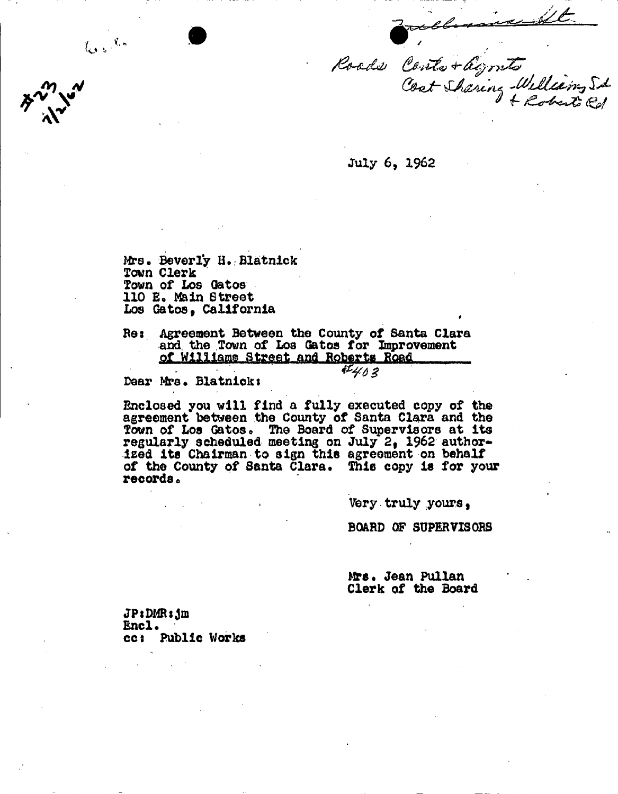Roads Conte + légents Cost Sharing William St

July 6, 1962

Mrs. Beverly H. Blatnick Town Clerk Town of Los Gatoa 110 E. Main Street Los Gatos. California  $\mathbf{r} = \mathbf{r} \cdot \mathbf{r}$  , where  $\mathbf{r} = \mathbf{r} \cdot \mathbf{r}$  , where  $\mathbf{r} = \mathbf{r} \cdot \mathbf{r}$ 

 $\int_{\mathbb{R} \times \mathbb{R}^d} |y| \, d\mu = \frac{\sqrt{2} \pi}{\sqrt{2}} \, d\mu$ 

Be3 Agreement Between the County of Santa Clara and the Town of Los Gatos for Improvement **qf Williams Street and Roberts Road** 

Dear Mrs. Blatnick:

Enclosed you will find a fully executed copy of the agreement between the County of Santa Clara and the Town of Los Gatos. The Board of Supervisors at its regularly scheduled meeting on July 2, 1962 authorised Its Chairman to sign this agreement on behalf of the County of Santa Clara. This copy is for your records«

Very truly yours,

BOARD OP SUPERVISORS

Mrs. Jean Pullan Clerk of the Board

JPtDMRsjm Encl.<br>cc: Public Works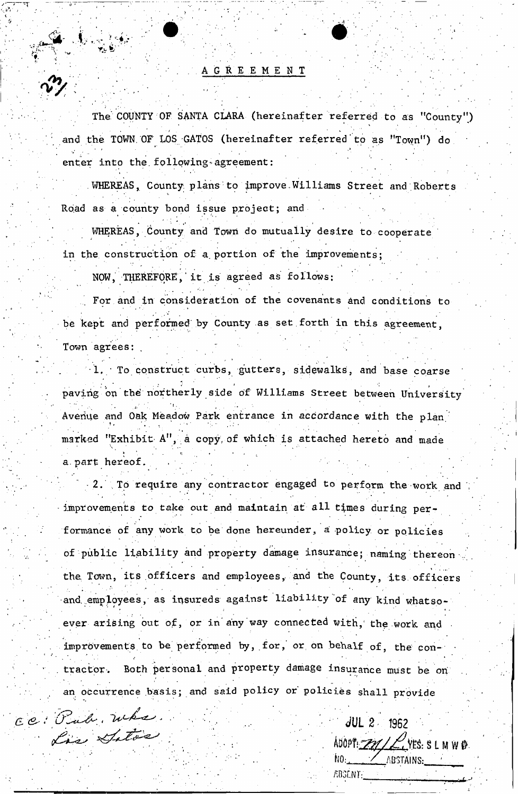## AGREEMENT

*A* <sup>1</sup> .

The COUNTY OF SANTA CLARA (hereinafter referred to as "County") *•i . ' .* ' ' ' . ' ' i • , and the TOWN OF LOS GATOS (hereinafter referred to as "Town") do enter into the following-agreement:

WHEREAS, County plans to improve Williams Street and Roberts Road as a county bond issue project; and

WHEREAS, County and Town do mutually desire to cooperate in the construction of a. portion of the improvements;

NOW, THEREFORE, it is agreed as follows:

*irj"* ' • '

T" *1* • '•• '

For and in consideration of the covenants and conditions to be kept and performed by County as set forth in this agreement, Town agrees:

To construct curbs, gutters, sidewalks, and base coarse paving on the northerly side of Williams Street between University Avenue and Oak Meadow Park entrance in accordance with the plan. marked "Exhibit A", a copy of which is attached hereto and made  $\mathbf{r} = \mathbf{r} \cdot \mathbf{r}$  . The set of  $\mathbf{r} = \mathbf{r} \cdot \mathbf{r}$ a. part hereof.

2. To require any contractor engaged to perform the work and improvements to take out and maintain at all times during performance of any work to be done hereunder, a policy or policies of public liability and property damage insurance; naming thereon the Town, its officers and employees, and the County, its officers and. employees, as insureds against liability'of any kind whatsoever arising out of, or in any way connected with, the work and improvements to be performed by, for, or on behalf of, the con-. tractor. Both personal and property damage insurance must be on an occurrence basis; and said policy or policies shall provide

 $ce:$  Pub.  $w$ ke.  $w$  .  $w$  .  $w$  .  $w$  .  $w$  .  $w$  .  $w$  .  $w$  .  $w$  .  $w$  .  $w$  .  $w$ Lis Satos

ADOPT: 21/ CUES: SLMWD  $\mathsf{NO}_1$  . The state of the state of the state of the state  $\mathsf{NO}_2$ . The state of the state of the state of the state of the state of the state of the state of the state of the state of the state of the state of the st  $\mathcal{L} \left( \mathcal{L} \right) = \mathcal{L} \left( \mathcal{L} \right)$  . The set of  $\mathcal{L} \left( \mathcal{L} \right)$  is a set of  $\mathcal{L} \left( \mathcal{L} \right)$  . The set of  $\mathcal{L} \left( \mathcal{L} \right)$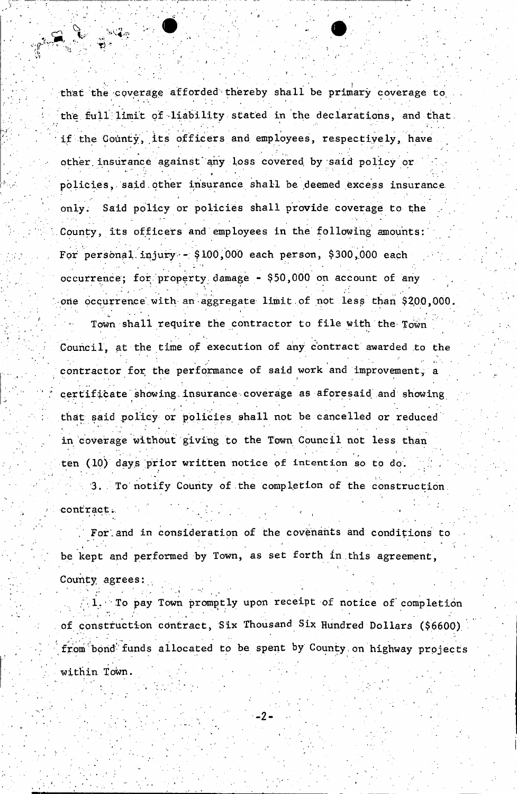that the coverage afforded thereby shall be primary coverage to the full limit of liability stated in the declarations, and that. if the County, its officers and employees, respectively, have other, insurance against' any loss covered, by said policy or ' policies, said other insurance shall be deemed excess insurance only. Said policy or policies shall provide coverage to the County, its officers and employees in the following amounts: For personal injury -  $$100,000$  each person,  $$300,000$  each occurrence; for property.damage - \$50,000 on account of any one occurrence with an aggregate limit of not lesp than \$200,000.

Town shall require the contractor to file with the Town Council, at the time of execution of any contract awarded to the contractor for the performance of said work and improvement, a certificate showing insurance coverage as aforesaid and showing that said policy or policies shall not be cancelled or reduced in coverage without giving to the Town Council not less than ten (10) days prior written notice of intention so to do. 3. To notify County of the completion of the construction

contract.

For, and in consideration of the covenants and conditions to be kept and performed by Town, as set forth in this agreement,

County agrees:

To pay Town promptly upon receipt of notice of completion of construction contract, Six Thousand Six Hundred Dollars (\$6600) **from** bond' funds allocated to be spent by County.on highway projects within Town.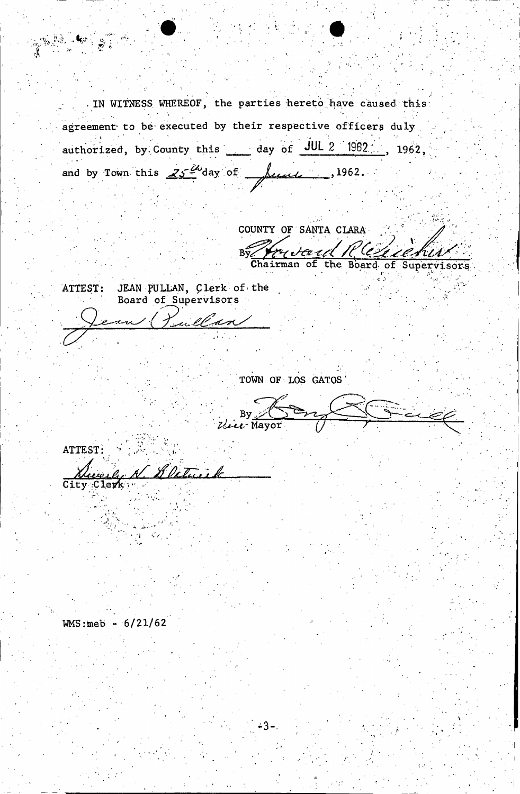'IN WITNESS WHEREOF, the parties hereto have caused this agreement to be executed by their respective officers duly authorized, by County this day of JUL 2 1962 ;.. 1962, and by Town this  $25\frac{20}{3}$  day of  $\frac{1962}{3}$ .

an

COUNTY OF SANTA CLARA ry *Seart It (eleverture*) By Yareter EL CR  $i\ell\mathcal{A}$ 

I

ATTEST: JEAN PULLAN, Clerk of the Board of\_Supervisors

, G $\omega_{\rm e}$ 

 $\mathcal{C}_{0}$ 7

r'l

TOWN OF LOS GATOS'

 $-3 - 1$ 

 $\cdot$  , By  $\ge$ Mayor

ATTEST: *<sup>a</sup> / : Al^r , A*  City :Clerk r

 $WMS:meb - 6/21/62$